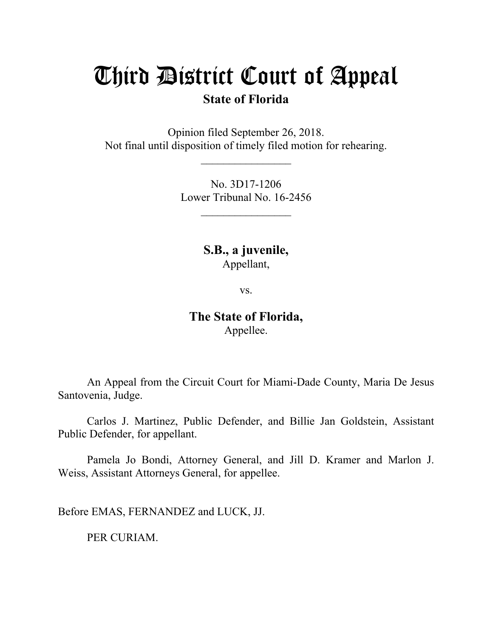## Third District Court of Appeal

## **State of Florida**

Opinion filed September 26, 2018. Not final until disposition of timely filed motion for rehearing.

> No. 3D17-1206 Lower Tribunal No. 16-2456

> > **S.B., a juvenile,** Appellant,

> > > vs.

**The State of Florida,** Appellee.

An Appeal from the Circuit Court for Miami-Dade County, Maria De Jesus Santovenia, Judge.

Carlos J. Martinez, Public Defender, and Billie Jan Goldstein, Assistant Public Defender, for appellant.

Pamela Jo Bondi, Attorney General, and Jill D. Kramer and Marlon J. Weiss, Assistant Attorneys General, for appellee.

Before EMAS, FERNANDEZ and LUCK, JJ.

PER CURIAM.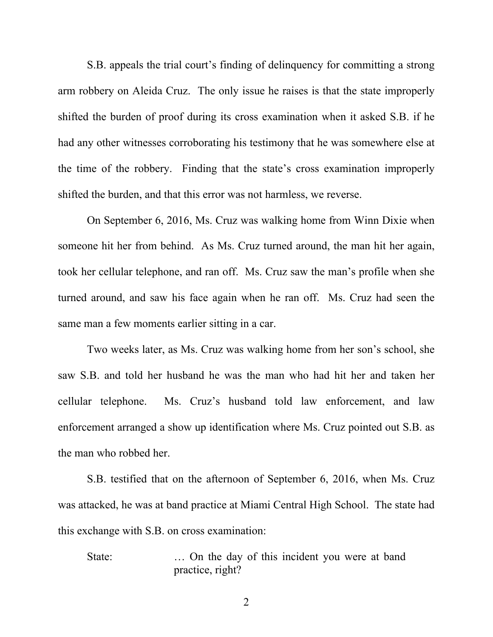S.B. appeals the trial court's finding of delinquency for committing a strong arm robbery on Aleida Cruz. The only issue he raises is that the state improperly shifted the burden of proof during its cross examination when it asked S.B. if he had any other witnesses corroborating his testimony that he was somewhere else at the time of the robbery. Finding that the state's cross examination improperly shifted the burden, and that this error was not harmless, we reverse.

On September 6, 2016, Ms. Cruz was walking home from Winn Dixie when someone hit her from behind. As Ms. Cruz turned around, the man hit her again, took her cellular telephone, and ran off. Ms. Cruz saw the man's profile when she turned around, and saw his face again when he ran off. Ms. Cruz had seen the same man a few moments earlier sitting in a car.

Two weeks later, as Ms. Cruz was walking home from her son's school, she saw S.B. and told her husband he was the man who had hit her and taken her cellular telephone. Ms. Cruz's husband told law enforcement, and law enforcement arranged a show up identification where Ms. Cruz pointed out S.B. as the man who robbed her.

S.B. testified that on the afternoon of September 6, 2016, when Ms. Cruz was attacked, he was at band practice at Miami Central High School. The state had this exchange with S.B. on cross examination:

State: ... On the day of this incident you were at band practice, right?

2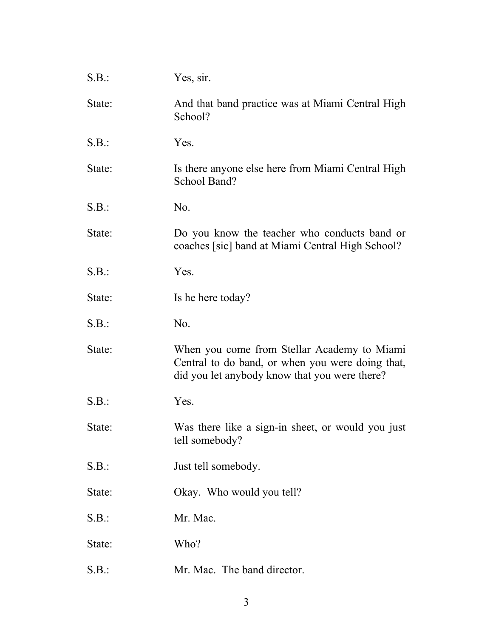| S.B.:  | Yes, sir.                                                                                                                                        |
|--------|--------------------------------------------------------------------------------------------------------------------------------------------------|
| State: | And that band practice was at Miami Central High<br>School?                                                                                      |
| S.B.:  | Yes.                                                                                                                                             |
| State: | Is there anyone else here from Miami Central High<br>School Band?                                                                                |
| S.B.:  | N <sub>0</sub> .                                                                                                                                 |
| State: | Do you know the teacher who conducts band or<br>coaches [sic] band at Miami Central High School?                                                 |
| S.B.:  | Yes.                                                                                                                                             |
| State: | Is he here today?                                                                                                                                |
| S.B.:  | No.                                                                                                                                              |
| State: | When you come from Stellar Academy to Miami<br>Central to do band, or when you were doing that,<br>did you let anybody know that you were there? |
| S.B.:  | Yes.                                                                                                                                             |
| State: | Was there like a sign-in sheet, or would you just<br>tell somebody?                                                                              |
| S.B.:  | Just tell somebody.                                                                                                                              |
| State: | Okay. Who would you tell?                                                                                                                        |
| S.B.:  | Mr. Mac.                                                                                                                                         |
| State: | Who?                                                                                                                                             |
| S.B.:  | Mr. Mac. The band director.                                                                                                                      |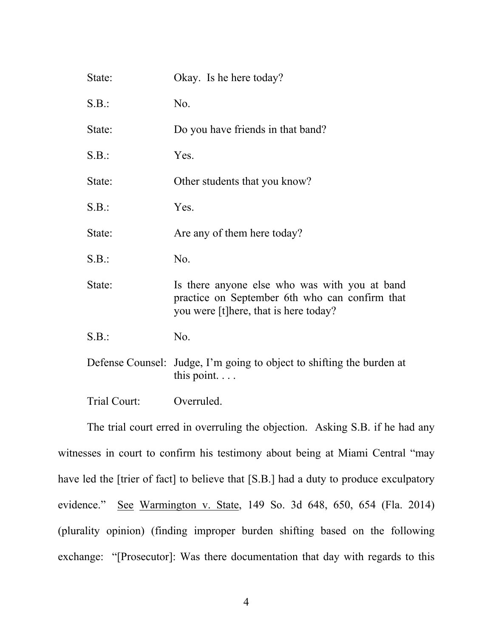| State:           | Okay. Is he here today?                                                                                                                  |
|------------------|------------------------------------------------------------------------------------------------------------------------------------------|
| S.B.:            | N <sub>0</sub> .                                                                                                                         |
| State:           | Do you have friends in that band?                                                                                                        |
| S.B.:            | Yes.                                                                                                                                     |
| State:           | Other students that you know?                                                                                                            |
| S.B.:            | Yes.                                                                                                                                     |
| State:           | Are any of them here today?                                                                                                              |
| S.B.:            | No.                                                                                                                                      |
| State:           | Is there anyone else who was with you at band<br>practice on September 6th who can confirm that<br>you were [t]here, that is here today? |
| S.B.:            | No.                                                                                                                                      |
| Defense Counsel: | Judge, I'm going to object to shifting the burden at<br>this point. $\ldots$                                                             |
| Trial Court:     | Overruled.                                                                                                                               |

The trial court erred in overruling the objection. Asking S.B. if he had any witnesses in court to confirm his testimony about being at Miami Central "may have led the [trier of fact] to believe that [S.B.] had a duty to produce exculpatory evidence." See Warmington v. State, 149 So. 3d 648, 650, 654 (Fla. 2014) (plurality opinion) (finding improper burden shifting based on the following exchange: "[Prosecutor]: Was there documentation that day with regards to this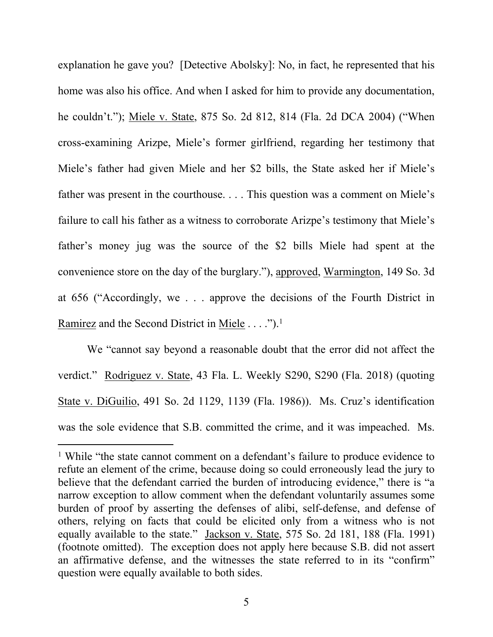explanation he gave you? [Detective Abolsky]: No, in fact, he represented that his home was also his office. And when I asked for him to provide any documentation, he couldn't."); Miele v. State, 875 So. 2d 812, 814 (Fla. 2d DCA 2004) ("When cross-examining Arizpe, Miele's former girlfriend, regarding her testimony that Miele's father had given Miele and her \$2 bills, the State asked her if Miele's father was present in the courthouse. . . . This question was a comment on Miele's failure to call his father as a witness to corroborate Arizpe's testimony that Miele's father's money jug was the source of the \$2 bills Miele had spent at the convenience store on the day of the burglary."), approved, Warmington, 149 So. 3d at 656 ("Accordingly, we . . . approve the decisions of the Fourth District in Ramirez and the Second District in Miele . . . .").<sup>1</sup>

We "cannot say beyond a reasonable doubt that the error did not affect the verdict." Rodriguez v. State, 43 Fla. L. Weekly S290, S290 (Fla. 2018) (quoting State v. DiGuilio, 491 So. 2d 1129, 1139 (Fla. 1986)). Ms. Cruz's identification was the sole evidence that S.B. committed the crime, and it was impeached. Ms.

<sup>1</sup> While "the state cannot comment on a defendant's failure to produce evidence to refute an element of the crime, because doing so could erroneously lead the jury to believe that the defendant carried the burden of introducing evidence," there is "a narrow exception to allow comment when the defendant voluntarily assumes some burden of proof by asserting the defenses of alibi, self-defense, and defense of others, relying on facts that could be elicited only from a witness who is not equally available to the state." Jackson v. State, 575 So. 2d 181, 188 (Fla. 1991) (footnote omitted). The exception does not apply here because S.B. did not assert an affirmative defense, and the witnesses the state referred to in its "confirm" question were equally available to both sides.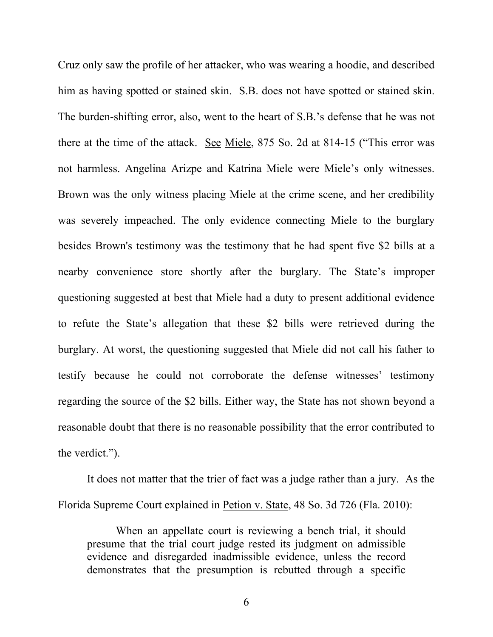Cruz only saw the profile of her attacker, who was wearing a hoodie, and described him as having spotted or stained skin. S.B. does not have spotted or stained skin. The burden-shifting error, also, went to the heart of S.B.'s defense that he was not there at the time of the attack. See Miele, 875 So. 2d at 814-15 ("This error was not harmless. Angelina Arizpe and Katrina Miele were Miele's only witnesses. Brown was the only witness placing Miele at the crime scene, and her credibility was severely impeached. The only evidence connecting Miele to the burglary besides Brown's testimony was the testimony that he had spent five \$2 bills at a nearby convenience store shortly after the burglary. The State's improper questioning suggested at best that Miele had a duty to present additional evidence to refute the State's allegation that these \$2 bills were retrieved during the burglary. At worst, the questioning suggested that Miele did not call his father to testify because he could not corroborate the defense witnesses' testimony regarding the source of the \$2 bills. Either way, the State has not shown beyond a reasonable doubt that there is no reasonable possibility that the error contributed to the verdict.").

It does not matter that the trier of fact was a judge rather than a jury. As the Florida Supreme Court explained in Petion v. State, 48 So. 3d 726 (Fla. 2010):

When an appellate court is reviewing a bench trial, it should presume that the trial court judge rested its judgment on admissible evidence and disregarded inadmissible evidence, unless the record demonstrates that the presumption is rebutted through a specific

6